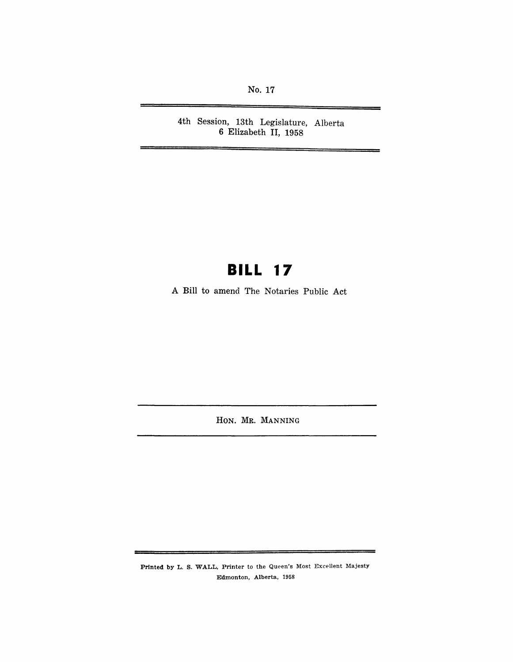No. 17

4th Session, 13th Legislature, Alberta 6 Elizabeth II, 1958

# **BILL 17**

A Bill to amend The Notaries Public Act

HON. MR. MANNING

Printed by L. S. WALL, Printer to the Queen's Most Excellent Majesty Edmonton, Alberta, 1958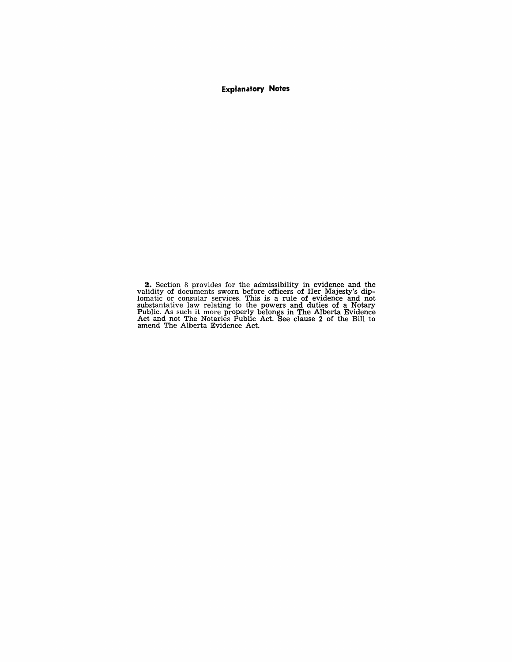**Explanatory Notes** 

**2.** Section 8 provides for the admissibility in evidence and the validity of documents sworn before officers of Her Majesty's diplomatic or consular services. This is a rule of evidence and not substantative law relating to the powers and duties of a Notary Public. As such it more properly belongs in The Alberta Evidence Act and not The Notaries Public Act. See clause 2 of the Bill to amend The Alberta Evidence Act.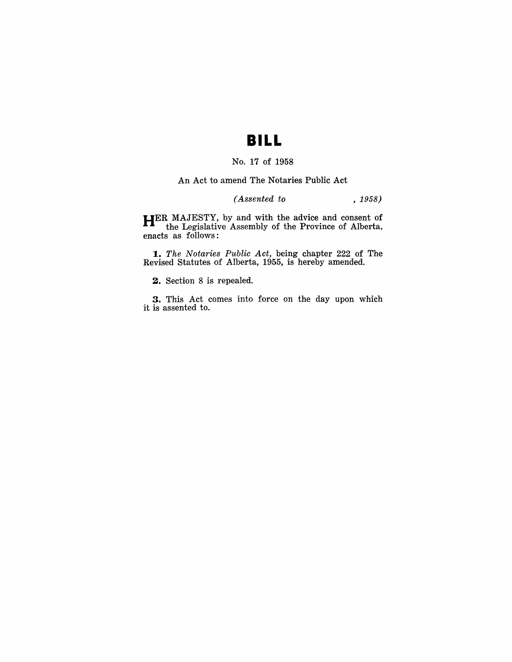# **BILL**

### No. 17 of 1958

An Act to amend The Notaries Public Act

### *(Assented to* , 1958)

**HER** MAJESTY, by and with the advice and consent of the Legislative Assembly of the Province of Alberta, enacts as follows:

*1. The Notaries Public Act,* being chapter 222 of The Revised Statutes of Alberta, 1955, is hereby amended.

**2.** Section 8 is repealed.

**3.** This Act comes into force on the day upon which it is assented to.